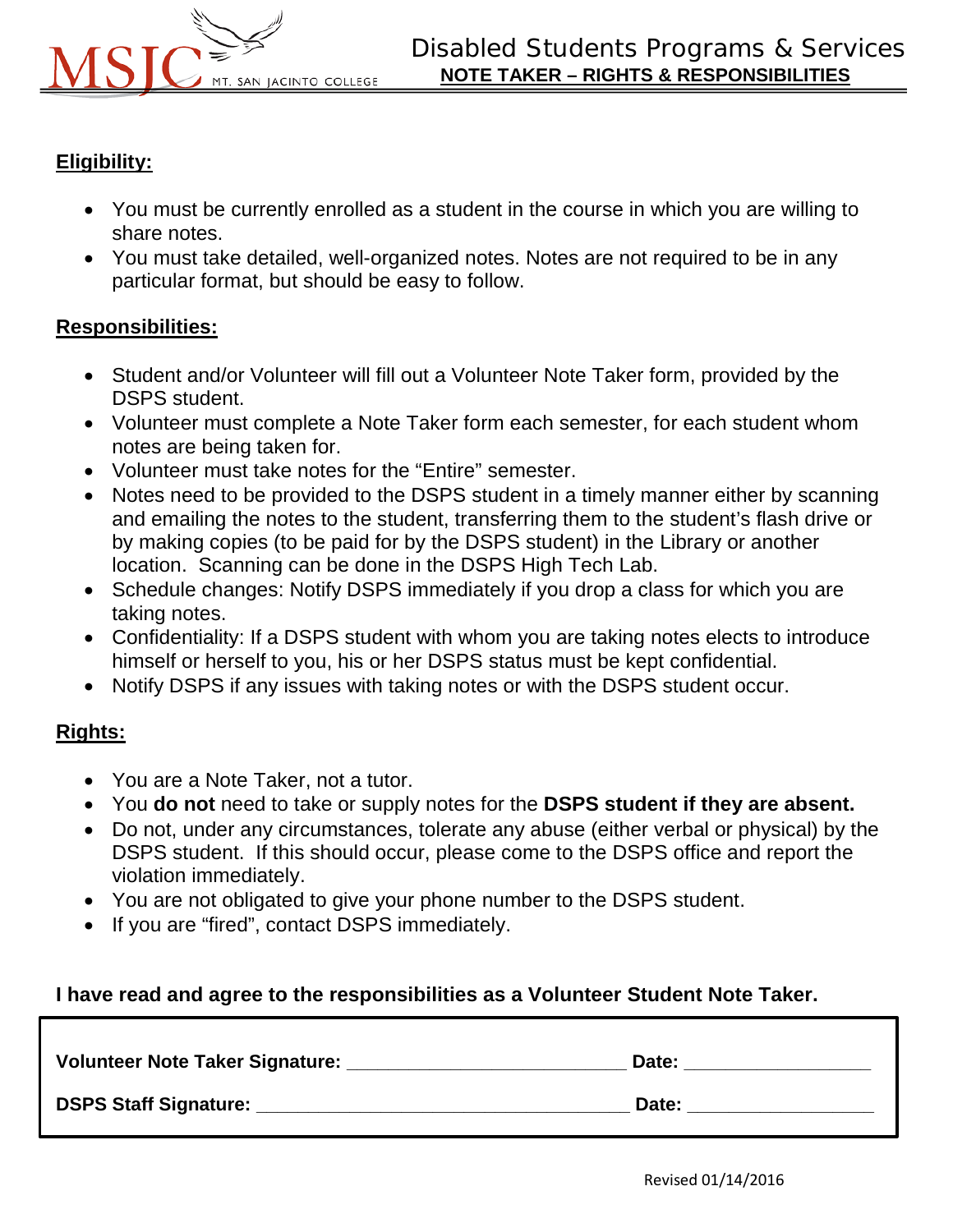

### **Eligibility:**

- You must be currently enrolled as a student in the course in which you are willing to share notes.
- You must take detailed, well-organized notes. Notes are not required to be in any particular format, but should be easy to follow.

#### **Responsibilities:**

- Student and/or Volunteer will fill out a Volunteer Note Taker form, provided by the DSPS student.
- Volunteer must complete a Note Taker form each semester, for each student whom notes are being taken for.
- Volunteer must take notes for the "Entire" semester.
- Notes need to be provided to the DSPS student in a timely manner either by scanning and emailing the notes to the student, transferring them to the student's flash drive or by making copies (to be paid for by the DSPS student) in the Library or another location. Scanning can be done in the DSPS High Tech Lab.
- Schedule changes: Notify DSPS immediately if you drop a class for which you are taking notes.
- Confidentiality: If a DSPS student with whom you are taking notes elects to introduce himself or herself to you, his or her DSPS status must be kept confidential.
- Notify DSPS if any issues with taking notes or with the DSPS student occur.

### **Rights:**

- You are a Note Taker, not a tutor.
- You **do not** need to take or supply notes for the **DSPS student if they are absent.**
- Do not, under any circumstances, tolerate any abuse (either verbal or physical) by the DSPS student. If this should occur, please come to the DSPS office and report the violation immediately.
- You are not obligated to give your phone number to the DSPS student.
- If you are "fired", contact DSPS immediately.

### **I have read and agree to the responsibilities as a Volunteer Student Note Taker.**

| Volunteer Note Taker Signature: | Date: |
|---------------------------------|-------|
| <b>DSPS Staff Signature:</b>    | Date: |